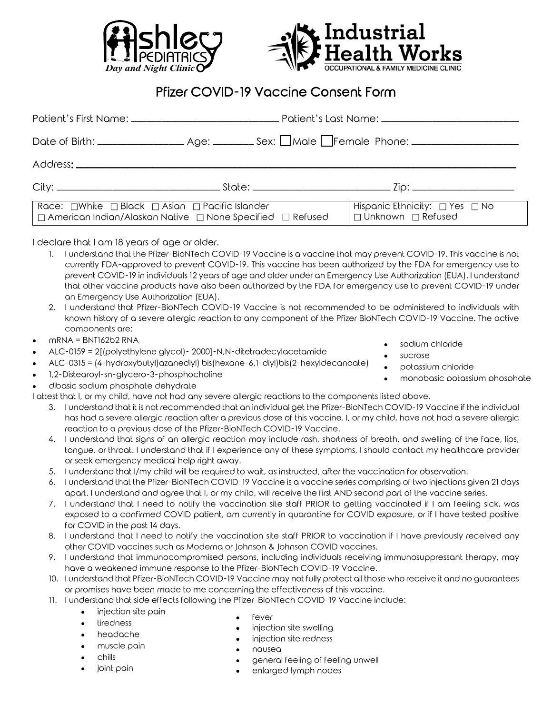



## Pfizer COVID-19 Vaccine Consent Form

| Race: $\Box$ White $\Box$ Black $\Box$ Asian $\Box$ Pacific Islander<br>  □ American Indian/Alaskan Native   □ None Specified   □ Refused |  | Hispanic Ethnicity: $\Box$ Yes $\Box$ No<br>□ Unknown □ Refused |
|-------------------------------------------------------------------------------------------------------------------------------------------|--|-----------------------------------------------------------------|

I declare that I am 18 years of age or older.

- 1. I understand that the Pfizer-BioNTech COVID-19 Vaccine is a vaccine that may prevent COVID-19. This vaccine is not currently FDA-approved to prevent COVID-19. This vaccine has been authorized by the FDA for emergency use to prevent COVID-19 in individuals 12 years of age and older under an Emergency Use Authorization (EUA). I understand that other vaccine products have also been authorized by the FDA for emergency use to prevent COVID-19 under an Emergency Use Authorization (EUA).
- 2. I understand that Pfizer-BioNTech COVID-19 Vaccine is not recommended to be administered to individuals with known history of a severe allergic reaction to any component of the Pfizer BioNTech COVID-19 Vaccine. The active components are:
- $mRNA = BNI162b2 RNA$
- ALC-0159 = 2[(polyethylene glycol)- 2000]-N,N-ditetradecylacetamide
- ALC-0315 = (4-hydroxybutyl)azanediyl) bis(hexane-6,1-diyl)bis(2-hexyldecanoate)
- 1,2-Distearoyl-sn-glycero-3-phosphocholine
- dibasic sodium phosphate dehydrate

I attest that I, or my child, have not had any severe allergic reactions to the components listed above.

- 3. I understand that it is not recommended that an individual get the Pfizer-BioNTech COVID-19 Vaccine if the individual has had a severe allergic reaction after a previous dose of this vaccine. I, or my child, have not had a severe allergic reaction to a previous dose of the Pfizer-BioNTech COVID-19 Vaccine.
- 4. I understand that signs of an allergic reaction may include rash, shortness of breath, and swelling of the face, lips, tongue. or throat. I understand that if I experience any of these symptoms, I should contact my healthcare provider or seek emergency medical help right away.
- 5. I understand that I/my child will be required to wait, as instructed, after the vaccination for observation.
- 6. I understand that the Pfizer-BioNTech COVID-19 Vaccine is a vaccine series comprising of two injections given 21 days apart. I understand and agree that I, or my child, will receive the first AND second part of the vaccine series.
- 7. I understand that I need to notify the vaccination site staff PRIOR to getting vaccinated if I am feeling sick, was exposed to a confirmed COVID patient, am currently in quarantine for COVID exposure, or if I have tested positive for COVID in the past 14 days.
- 8. I understand that I need to notify the vaccination site staff PRIOR to vaccination if I have previously received any other COVID vaccines such as Moderna or Johnson & Johnson COVID vaccines.
- 9. I understand that immunocompromised persons, including individuals receiving immunosuppressant therapy, may have a weakened immune response to the Pfizer-BioNTech COVID-19 Vaccine.
- 10. I understand that Pfizer-BioNTech COVID-19 Vaccine may not fully protect all those who receive it and no guarantees or promises have been made to me concerning the effectiveness of this vaccine.
- 11. I understand that side effects following the Pfizer-BioNTech COVID-19 Vaccine include:
	- injection site pain
	- tiredness
	- headache
	- muscle pain
	- chills
	- joint pain
- fever
- injection site swelling
- injection site redness
- nausea
- general feeling of feeling unwell
- enlarged lymph nodes
- sodium chloride
- sucrose
	- potassium chloride
- monobasic potassium phosphate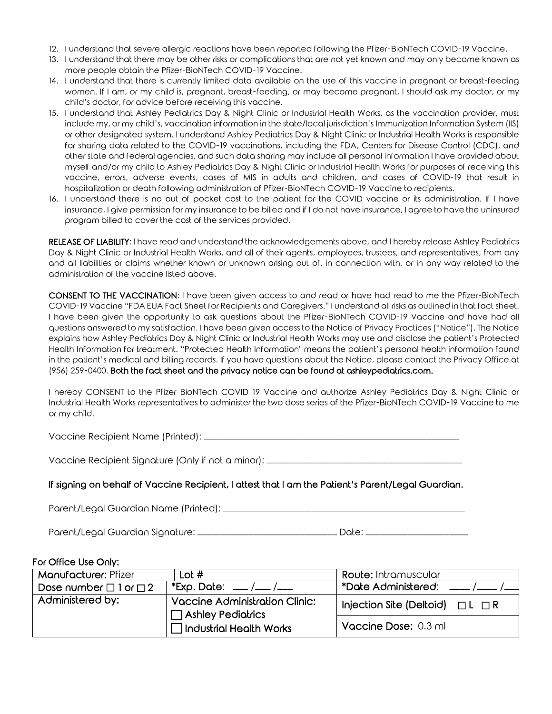- 12. I understand that severe allergic reactions have been reported following the Pfizer-BioNTech COVID-19 Vaccine.
- 13. I understand that there may be other risks or complications that are not yet known and may only become known as more people obtain the Pfizer-BioNTech COVID-19 Vaccine.
- 14. I understand that there is currently limited data available on the use of this vaccine in pregnant or breast-feeding women. If I am, or my child is, pregnant, breast-feeding, or may become pregnant, I should ask my doctor, or my child's doctor, for advice before receiving this vaccine.
- 15. I understand that Ashley Pediatrics Day & Night Clinic or Industrial Health Works, as the vaccination provider, must include my, or my child's, vaccination information in the state/local jurisdiction's Immunization Information System (IIS) or other designated system. I understand Ashley Pediatrics Day & Night Clinic or Industrial Health Works is responsible for sharing data related to the COVID-19 vaccinations, including the FDA, Centers for Disease Control (CDC), and other state and federal agencies, and such data sharing may include all personal information I have provided about myself and/or my child to Ashley Pediatrics Day & Night Clinic or Industrial Health Works for purposes of receiving this vaccine, errors, adverse events, cases of MIS in adults and children, and cases of COVID-19 that result in hospitalization or death following administration of Pfizer-BioNTech COVID-19 Vaccine to recipients.
- 16. I understand there is no out of pocket cost to the patient for the COVID vaccine or its administration. If I have insurance, I give permission for my insurance to be billed and if I do not have insurance, I agree to have the uninsured program billed to cover the cost of the services provided.

RELEASE OF LIABILITY: I have read and understand the acknowledgements above, and I hereby release Ashley Pediatrics Day & Night Clinic or Industrial Health Works, and all of their agents, employees, trustees, and representatives, from any and all liabilities or claims whether known or unknown arising out of, in connection with, or in any way related to the administration of the vaccine listed above.

CONSENT TO THE VACCINATION: I have been given access to and read or have had read to me the Pfizer-BioNTech COVID-19 Vaccine "FDA EUA Fact Sheet for Recipients and Caregivers." I understand all risks as outlined in that fact sheet. I have been given the opportunity to ask questions about the Pfizer-BioNTech COVID-19 Vaccine and have had all questions answered to my satisfaction. I have been given access to the Notice of Privacy Practices ("Notice"). The Notice explains how Ashley Pediatrics Day & Night Clinic or Industrial Health Works may use and disclose the patient's Protected Health Information for treatment. "Protected Health Information" means the patient's personal health information found in the patient's medical and billing records. If you have questions about the Notice, please contact the Privacy Office at (956) 259-0400. Both the fact sheet and the privacy notice can be found at ashleypediatrics.com.

I hereby CONSENT to the Pfizer-BioNTech COVID-19 Vaccine and authorize Ashley Pediatrics Day & Night Clinic or Industrial Health Works representatives to administer the two dose series of the Pfizer-BioNTech COVID-19 Vaccine to me or my child.

Vaccine Recipient Name (Printed): \_\_\_\_\_\_\_\_\_\_\_\_\_\_\_\_\_\_\_\_\_\_\_\_\_\_\_\_\_\_\_\_\_\_\_\_\_\_\_\_\_\_\_\_\_\_\_\_\_\_\_\_\_\_\_

Vaccine Recipient Signature (Only if not a minor): \_\_\_\_\_\_\_\_\_\_\_\_\_\_\_\_\_\_\_\_\_\_\_\_\_\_\_\_\_

## If signing on behalf of Vaccine Recipient, I attest that I am the Patient's Parent/Legal Guardian.

Parent/Legal Guardian Name (Printed): \_\_\_\_\_\_\_\_\_\_\_\_\_\_\_\_\_\_\_\_\_\_\_\_\_\_\_\_\_\_\_\_\_\_\_\_\_\_\_\_\_\_\_\_\_\_\_\_\_\_\_\_

Parent/Legal Guardian Signature: \_\_\_\_\_\_\_\_\_\_\_\_\_\_\_\_\_\_\_\_\_\_\_\_\_\_\_\_\_\_\_\_\_\_ Date: \_\_\_\_\_\_\_\_\_\_\_\_\_

## For Office Use Only:

| Manufacturer: Pfizer                                                                  | Lot $#$                                                         | <b>Route:</b> Intramuscular              |
|---------------------------------------------------------------------------------------|-----------------------------------------------------------------|------------------------------------------|
| Dose number $\Box$ 1 or $\Box$ 2                                                      | *Exp. Date: $\frac{\ }{\ }$ / $\frac{\ }{\ }$ / $\frac{\ }{\ }$ | *Date Administered: ____/__              |
| Administered by:<br><b>Vaccine Administration Clinic:</b><br>$\Box$ Ashley Pediatrics |                                                                 | Injection Site (Deltoid) $\Box L \Box R$ |
|                                                                                       | $\Box$ Industrial Health Works                                  | Vaccine Dose: 0.3 ml                     |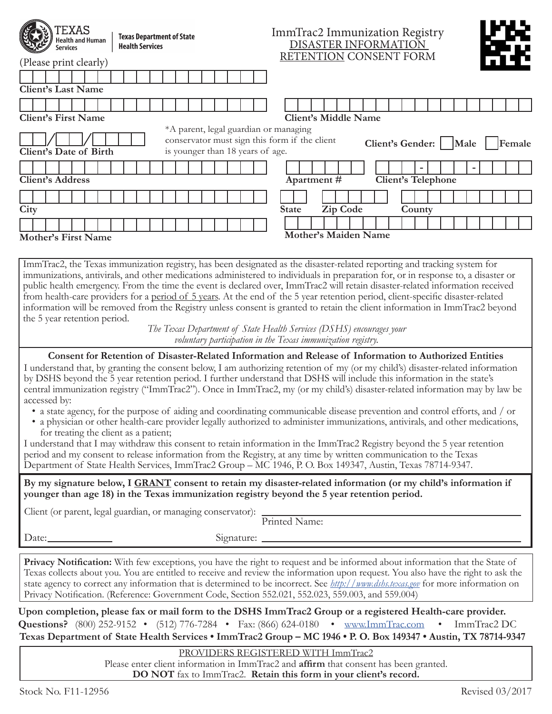| XAS<br>Health and Human<br><b>Services</b>                                                                                                                                                                                                                                                                                                                                                                                                                                                                                                                                                                                                                                                                                                                                           | <b>Texas Department of State</b><br><b>Health Services</b> | ImmTrac2 Immunization Registry<br>DISASTER INFORMATION                                                                                                                                                                                                                                                                                                                                                      |  |  |  |  |
|--------------------------------------------------------------------------------------------------------------------------------------------------------------------------------------------------------------------------------------------------------------------------------------------------------------------------------------------------------------------------------------------------------------------------------------------------------------------------------------------------------------------------------------------------------------------------------------------------------------------------------------------------------------------------------------------------------------------------------------------------------------------------------------|------------------------------------------------------------|-------------------------------------------------------------------------------------------------------------------------------------------------------------------------------------------------------------------------------------------------------------------------------------------------------------------------------------------------------------------------------------------------------------|--|--|--|--|
| (Please print clearly)                                                                                                                                                                                                                                                                                                                                                                                                                                                                                                                                                                                                                                                                                                                                                               |                                                            | RETENTION CONSENT FORM                                                                                                                                                                                                                                                                                                                                                                                      |  |  |  |  |
| <b>Client's Last Name</b><br><b>Client's First Name</b>                                                                                                                                                                                                                                                                                                                                                                                                                                                                                                                                                                                                                                                                                                                              |                                                            | <b>Client's Middle Name</b>                                                                                                                                                                                                                                                                                                                                                                                 |  |  |  |  |
| *A parent, legal guardian or managing<br>conservator must sign this form if the client<br>Client's Gender:     Male<br>Female<br>Client's Date of Birth<br>is younger than 18 years of age.                                                                                                                                                                                                                                                                                                                                                                                                                                                                                                                                                                                          |                                                            |                                                                                                                                                                                                                                                                                                                                                                                                             |  |  |  |  |
| <b>Client's Address</b>                                                                                                                                                                                                                                                                                                                                                                                                                                                                                                                                                                                                                                                                                                                                                              |                                                            | Apartment#<br><b>Client's Telephone</b>                                                                                                                                                                                                                                                                                                                                                                     |  |  |  |  |
| City                                                                                                                                                                                                                                                                                                                                                                                                                                                                                                                                                                                                                                                                                                                                                                                 |                                                            | Zip Code<br><b>State</b><br>County                                                                                                                                                                                                                                                                                                                                                                          |  |  |  |  |
| <b>Mother's First Name</b>                                                                                                                                                                                                                                                                                                                                                                                                                                                                                                                                                                                                                                                                                                                                                           |                                                            | <b>Mother's Maiden Name</b>                                                                                                                                                                                                                                                                                                                                                                                 |  |  |  |  |
| immunizations, antivirals, and other medications administered to individuals in preparation for, or in response to, a disaster or<br>public health emergency. From the time the event is declared over, ImmTrac2 will retain disaster-related information received<br>from health-care providers for a period of 5 years. At the end of the 5 year retention period, client-specific disaster-related<br>information will be removed from the Registry unless consent is granted to retain the client information in ImmTrac2 beyond<br>the 5 year retention period.<br>The Texas Department of State Health Services (DSHS) encourages your<br>voluntary participation in the Texas immunization registry.                                                                          |                                                            |                                                                                                                                                                                                                                                                                                                                                                                                             |  |  |  |  |
| Consent for Retention of Disaster-Related Information and Release of Information to Authorized Entities<br>I understand that, by granting the consent below, I am authorizing retention of my (or my child's) disaster-related information<br>by DSHS beyond the 5 year retention period. I further understand that DSHS will include this information in the state's<br>central immunization registry ("ImmTrac2"). Once in ImmTrac2, my (or my child's) disaster-related information may by law be<br>accessed by:<br>• a state agency, for the purpose of aiding and coordinating communicable disease prevention and control efforts, and / or<br>• a physician or other health-care provider legally authorized to administer immunizations, antivirals, and other medications, |                                                            |                                                                                                                                                                                                                                                                                                                                                                                                             |  |  |  |  |
| for treating the client as a patient;<br>I understand that I may withdraw this consent to retain information in the ImmTrac2 Registry beyond the 5 year retention<br>period and my consent to release information from the Registry, at any time by written communication to the Texas<br>Department of State Health Services, ImmTrac2 Group - MC 1946, P. O. Box 149347, Austin, Texas 78714-9347.                                                                                                                                                                                                                                                                                                                                                                                 |                                                            |                                                                                                                                                                                                                                                                                                                                                                                                             |  |  |  |  |
| By my signature below, I GRANT consent to retain my disaster-related information (or my child's information if<br>younger than age 18) in the Texas immunization registry beyond the 5 year retention period.                                                                                                                                                                                                                                                                                                                                                                                                                                                                                                                                                                        |                                                            |                                                                                                                                                                                                                                                                                                                                                                                                             |  |  |  |  |
| Client (or parent, legal guardian, or managing conservator): Printed Name:                                                                                                                                                                                                                                                                                                                                                                                                                                                                                                                                                                                                                                                                                                           |                                                            |                                                                                                                                                                                                                                                                                                                                                                                                             |  |  |  |  |
| Date:                                                                                                                                                                                                                                                                                                                                                                                                                                                                                                                                                                                                                                                                                                                                                                                |                                                            | Signature: $\frac{1}{\sqrt{1-\frac{1}{2}}\sqrt{1-\frac{1}{2}}\sqrt{1-\frac{1}{2}}\sqrt{1-\frac{1}{2}}\sqrt{1-\frac{1}{2}}\sqrt{1-\frac{1}{2}}\sqrt{1-\frac{1}{2}}\sqrt{1-\frac{1}{2}}\sqrt{1-\frac{1}{2}}\sqrt{1-\frac{1}{2}}\sqrt{1-\frac{1}{2}}\sqrt{1-\frac{1}{2}}\sqrt{1-\frac{1}{2}}\sqrt{1-\frac{1}{2}}\sqrt{1-\frac{1}{2}}\sqrt{1-\frac{1}{2}}\sqrt{1-\frac{1}{2}}\sqrt{1-\frac{1}{2}}\sqrt{1-\frac$ |  |  |  |  |
| Privacy Notification: With few exceptions, you have the right to request and be informed about information that the State of<br>Texas collects about you. You are entitled to receive and review the information upon request. You also have the right to ask the<br>state agency to correct any information that is determined to be incorrect. See <i>http://www.dshs.texas.gov</i> for more information on                                                                                                                                                                                                                                                                                                                                                                        |                                                            |                                                                                                                                                                                                                                                                                                                                                                                                             |  |  |  |  |

**Upon completion, please fax or mail form to the DSHS ImmTrac2 Group or a registered Health-care provider. Questions?** (800) 252-9152 • (512) 776-7284 • Fax: (866) 624-0180 • [www.ImmTrac.com](http://www.ImmTrac.com) • ImmTrac2 DC **Texas Department of State Health Services • ImmTrac2 Group – MC 1946 • P. O. Box 149347 • Austin, TX 78714-9347**

Privacy Notification. (Reference: Government Code, Section 552.021, 552.023, 559.003, and 559.004)

PROVIDERS REGISTERED WITH ImmTrac2 Please enter client information in ImmTrac2 and **affirm** that consent has been granted. **DO NOT** fax to ImmTrac2. **Retain this form in your client's record.**